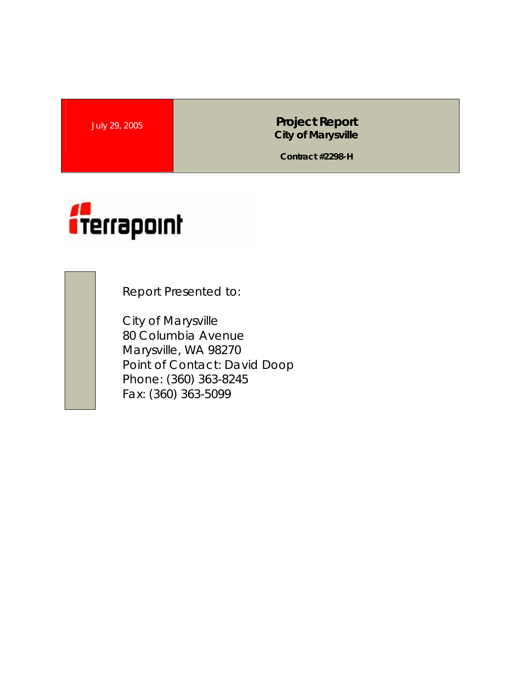July 29, 2005 **Project Report City of Marysville** 

**Contract #2298-H** 



Report Presented to:

City of Marysville 80 Columbia Avenue Marysville, WA 98270 Point of Contact: David Doop Phone: (360) 363-8245 Fax: (360) 363-5099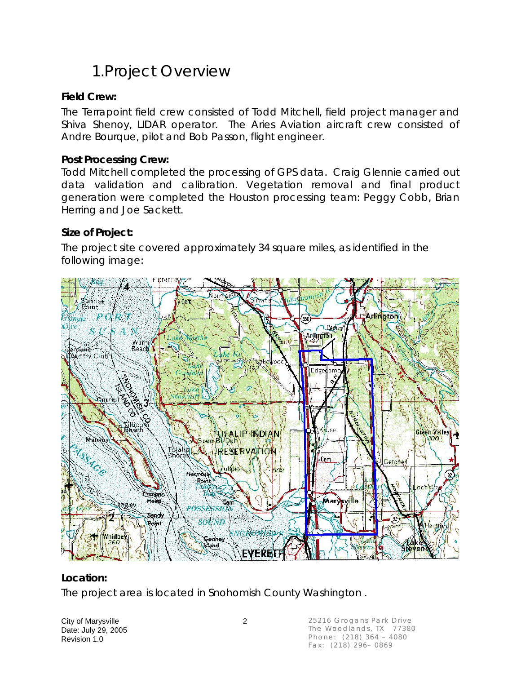### 1.Project Overview

### **Field Crew:**

The Terrapoint field crew consisted of Todd Mitchell, field project manager and Shiva Shenoy, LIDAR operator. The Aries Aviation aircraft crew consisted of Andre Bourque, pilot and Bob Passon, flight engineer.

#### **Post Processing Crew:**

Todd Mitchell completed the processing of GPS data. Craig Glennie carried out data validation and calibration. Vegetation removal and final product generation were completed the Houston processing team: Peggy Cobb, Brian Herring and Joe Sackett.

#### **Size of Project:**

The project site covered approximately 34 square miles, as identified in the following image:



### **Location:**

The project area is located in Snohomish County Washington .

City of Marysville 2 Date: July 29, 2005 Revision 1.0

25216 Grogans Park Drive The Woodlands, TX 77380 Phone: (218) 364 – 4080 Fax: (218) 296– 0869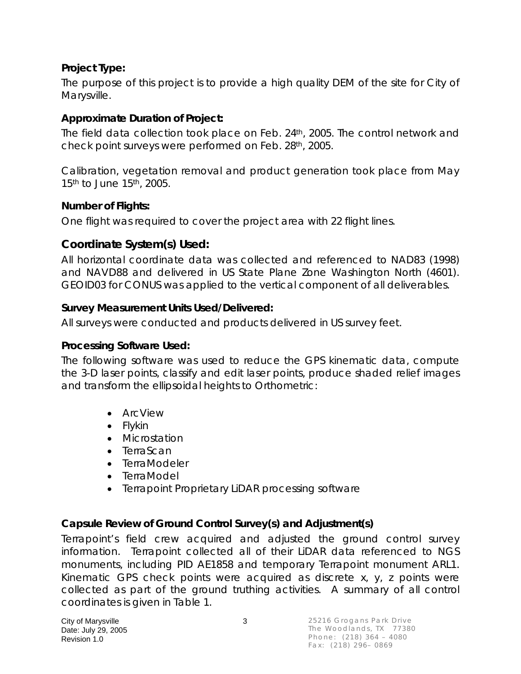### **Project Type:**

The purpose of this project is to provide a high quality DEM of the site for City of Marysville.

### **Approximate Duration of Project:**

The field data collection took place on Feb. 24<sup>th</sup>, 2005. The control network and check point surveys were performed on Feb. 28th, 2005.

Calibration, vegetation removal and product generation took place from May 15<sup>th</sup> to June 15<sup>th</sup>, 2005.

#### **Number of Flights:**

One flight was required to cover the project area with 22 flight lines.

### **Coordinate System(s) Used:**

All horizontal coordinate data was collected and referenced to NAD83 (1998) and NAVD88 and delivered in US State Plane Zone Washington North (4601). GEOID03 for CONUS was applied to the vertical component of all deliverables.

#### **Survey Measurement Units Used/Delivered:**

All surveys were conducted and products delivered in US survey feet.

#### **Processing Software Used:**

The following software was used to reduce the GPS kinematic data, compute the 3-D laser points, classify and edit laser points, produce shaded relief images and transform the ellipsoidal heights to Orthometric:

- ArcView
- Flykin
- Microstation
- TerraScan
- TerraModeler
- TerraModel
- Terrapoint Proprietary LiDAR processing software

### **Capsule Review of Ground Control Survey(s) and Adjustment(s)**

Terrapoint's field crew acquired and adjusted the ground control survey information. Terrapoint collected all of their LiDAR data referenced to NGS monuments, including PID AE1858 and temporary Terrapoint monument ARL1. Kinematic GPS check points were acquired as discrete x, y, z points were collected as part of the ground truthing activities. A summary of all control coordinates is given in Table 1.

City of Marysville 3 Date: July 29, 2005 Revision 1.0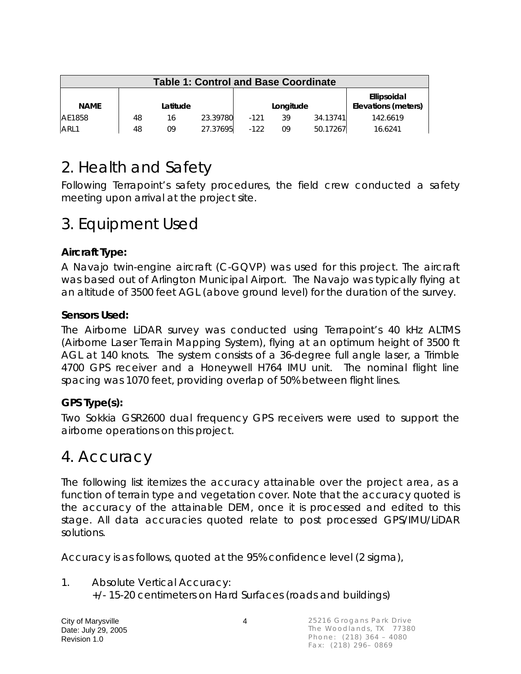| <b>Table 1: Control and Base Coordinate</b> |          |    |          |           |    |          |                                    |  |
|---------------------------------------------|----------|----|----------|-----------|----|----------|------------------------------------|--|
| <b>NAME</b>                                 | Latitude |    |          | Longitude |    |          | Ellipsoidal<br>Elevations (meters) |  |
| AE1858                                      | 48       | 16 | 23.39780 | $-121$    | 39 | 34.13741 | 142.6619                           |  |
| ARL1                                        | 48       | 09 | 27.37695 | $-122$    | 09 | 50.17267 | 16.6241                            |  |

### 2. Health and Safety

Following Terrapoint's safety procedures, the field crew conducted a safety meeting upon arrival at the project site.

### 3. Equipment Used

### **Aircraft Type:**

A Navajo twin-engine aircraft (C-GQVP) was used for this project. The aircraft was based out of Arlington Municipal Airport. The Navajo was typically flying at an altitude of 3500 feet AGL (above ground level) for the duration of the survey.

#### **Sensors Used:**

The Airborne LiDAR survey was conducted using Terrapoint's 40 kHz ALTMS (Airborne Laser Terrain Mapping System), flying at an optimum height of 3500 ft AGL at 140 knots. The system consists of a 36-degree full angle laser, a Trimble 4700 GPS receiver and a Honeywell H764 IMU unit. The nominal flight line spacing was 1070 feet, providing overlap of 50% between flight lines.

### **GPS Type(s):**

Two Sokkia GSR2600 dual frequency GPS receivers were used to support the airborne operations on this project.

### 4. Accuracy

The following list itemizes the accuracy attainable over the project area, as a function of terrain type and vegetation cover. Note that the accuracy quoted is the accuracy of the attainable DEM, once it is processed and edited to this stage. All data accuracies quoted relate to post processed GPS/IMU/LiDAR solutions.

Accuracy is as follows, quoted at the 95% confidence level (2 sigma),

1. Absolute Vertical Accuracy: +/- 15-20 centimeters on Hard Surfaces (roads and buildings)

City of Marysville 4 Date: July 29, 2005 Revision 1.0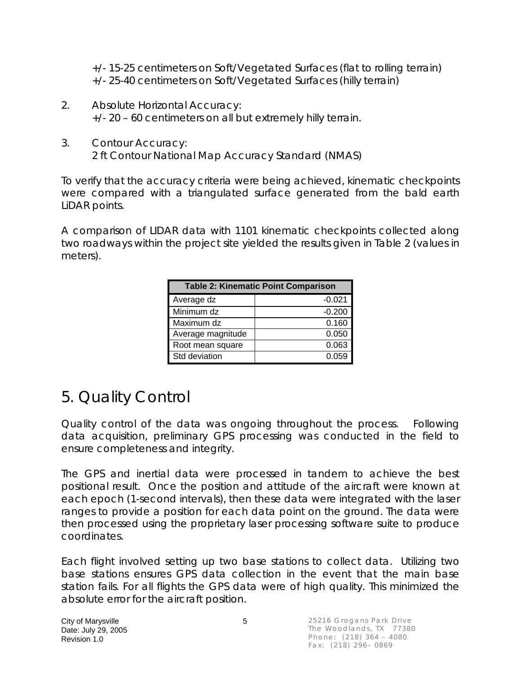+/- 15-25 centimeters on Soft/Vegetated Surfaces (flat to rolling terrain) +/- 25-40 centimeters on Soft/Vegetated Surfaces (hilly terrain)

- 2. Absolute Horizontal Accuracy: +/- 20 – 60 centimeters on all but extremely hilly terrain.
- 3. Contour Accuracy: 2 ft Contour National Map Accuracy Standard (NMAS)

To verify that the accuracy criteria were being achieved, kinematic checkpoints were compared with a triangulated surface generated from the bald earth LiDAR points.

A comparison of LIDAR data with 1101 kinematic checkpoints collected along two roadways within the project site yielded the results given in Table 2 (values in meters).

| <b>Table 2: Kinematic Point Comparison</b> |          |  |  |  |  |
|--------------------------------------------|----------|--|--|--|--|
| Average dz                                 | $-0.021$ |  |  |  |  |
| Minimum dz                                 | $-0.200$ |  |  |  |  |
| Maximum dz                                 | 0.160    |  |  |  |  |
| Average magnitude                          | 0.050    |  |  |  |  |
| Root mean square                           | 0.063    |  |  |  |  |
| Std deviation                              | 0.059    |  |  |  |  |

## 5. Quality Control

Quality control of the data was ongoing throughout the process. Following data acquisition, preliminary GPS processing was conducted in the field to ensure completeness and integrity.

The GPS and inertial data were processed in tandem to achieve the best positional result. Once the position and attitude of the aircraft were known at each epoch (1-second intervals), then these data were integrated with the laser ranges to provide a position for each data point on the ground. The data were then processed using the proprietary laser processing software suite to produce coordinates.

Each flight involved setting up two base stations to collect data. Utilizing two base stations ensures GPS data collection in the event that the main base station fails. For all flights the GPS data were of high quality. This minimized the absolute error for the aircraft position.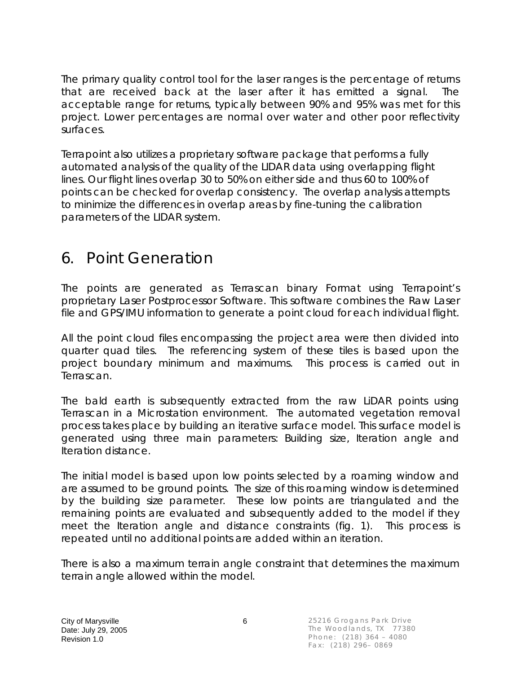The primary quality control tool for the laser ranges is the percentage of returns that are received back at the laser after it has emitted a signal. The acceptable range for returns, typically between 90% and 95% was met for this project. Lower percentages are normal over water and other poor reflectivity surfaces.

Terrapoint also utilizes a proprietary software package that performs a fully automated analysis of the quality of the LIDAR data using overlapping flight lines. Our flight lines overlap 30 to 50% on either side and thus 60 to 100% of points can be checked for overlap consistency. The overlap analysis attempts to minimize the differences in overlap areas by fine-tuning the calibration parameters of the LIDAR system.

### 6. Point Generation

The points are generated as Terrascan binary Format using Terrapoint's proprietary Laser Postprocessor Software. This software combines the Raw Laser file and GPS/IMU information to generate a point cloud for each individual flight.

All the point cloud files encompassing the project area were then divided into quarter quad tiles. The referencing system of these tiles is based upon the project boundary minimum and maximums. This process is carried out in Terrascan.

The bald earth is subsequently extracted from the raw LiDAR points using Terrascan in a Microstation environment. The automated vegetation removal process takes place by building an iterative surface model. This surface model is generated using three main parameters: Building size, Iteration angle and Iteration distance.

The initial model is based upon low points selected by a roaming window and are assumed to be ground points. The size of this roaming window is determined by the building size parameter. These low points are triangulated and the remaining points are evaluated and subsequently added to the model if they meet the Iteration angle and distance constraints (fig. 1). This process is repeated until no additional points are added within an iteration.

There is also a maximum terrain angle constraint that determines the maximum terrain angle allowed within the model.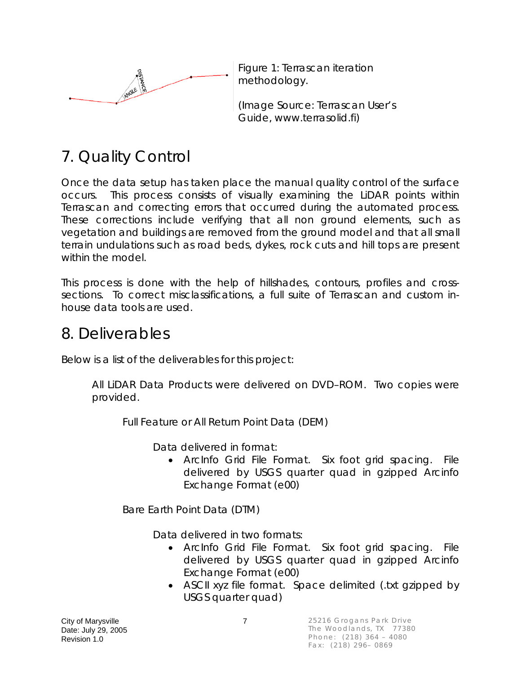

Figure 1: Terrascan iteration methodology.

(Image Source: Terrascan User's Guide, www.terrasolid.fi)

# 7. Quality Control

Once the data setup has taken place the manual quality control of the surface occurs. This process consists of visually examining the LiDAR points within Terrascan and correcting errors that occurred during the automated process. These corrections include verifying that all non ground elements, such as vegetation and buildings are removed from the ground model and that all small terrain undulations such as road beds, dykes, rock cuts and hill tops are present within the model.

This process is done with the help of hillshades, contours, profiles and crosssections. To correct misclassifications, a full suite of Terrascan and custom inhouse data tools are used.

### 8. Deliverables

Below is a list of the deliverables for this project:

All LiDAR Data Products were delivered on DVD–ROM. Two copies were provided.

Full Feature or All Return Point Data (DEM)

Data delivered in format:

• ArcInfo Grid File Format. Six foot grid spacing. File delivered by USGS quarter quad in gzipped Arcinfo Exchange Format (e00)

Bare Earth Point Data (DTM)

Data delivered in two formats:

- ArcInfo Grid File Format. Six foot grid spacing. File delivered by USGS quarter quad in gzipped Arcinfo Exchange Format (e00)
- ASCII xyz file format. Space delimited (.txt gzipped by USGS quarter quad)